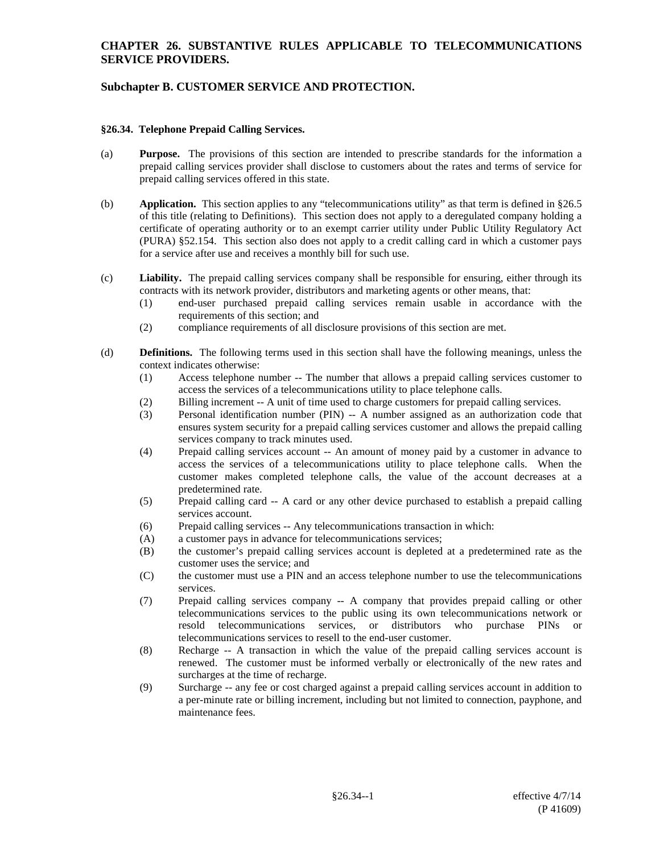# **Subchapter B. CUSTOMER SERVICE AND PROTECTION.**

#### **§26.34. Telephone Prepaid Calling Services.**

- (a) **Purpose.** The provisions of this section are intended to prescribe standards for the information a prepaid calling services provider shall disclose to customers about the rates and terms of service for prepaid calling services offered in this state.
- (b) **Application.** This section applies to any "telecommunications utility" as that term is defined in §26.5 of this title (relating to Definitions). This section does not apply to a deregulated company holding a certificate of operating authority or to an exempt carrier utility under Public Utility Regulatory Act (PURA) §52.154. This section also does not apply to a credit calling card in which a customer pays for a service after use and receives a monthly bill for such use.
- (c) **Liability.** The prepaid calling services company shall be responsible for ensuring, either through its contracts with its network provider, distributors and marketing agents or other means, that:
	- (1) end-user purchased prepaid calling services remain usable in accordance with the requirements of this section; and
	- (2) compliance requirements of all disclosure provisions of this section are met.
- (d) **Definitions.** The following terms used in this section shall have the following meanings, unless the context indicates otherwise:
	- (1) Access telephone number -- The number that allows a prepaid calling services customer to access the services of a telecommunications utility to place telephone calls.
	- (2) Billing increment -- A unit of time used to charge customers for prepaid calling services.
	- (3) Personal identification number (PIN) -- A number assigned as an authorization code that ensures system security for a prepaid calling services customer and allows the prepaid calling services company to track minutes used.
	- (4) Prepaid calling services account -- An amount of money paid by a customer in advance to access the services of a telecommunications utility to place telephone calls. When the customer makes completed telephone calls, the value of the account decreases at a predetermined rate.
	- (5) Prepaid calling card -- A card or any other device purchased to establish a prepaid calling services account.
	- (6) Prepaid calling services -- Any telecommunications transaction in which:
	- (A) a customer pays in advance for telecommunications services;
	- (B) the customer's prepaid calling services account is depleted at a predetermined rate as the customer uses the service; and
	- (C) the customer must use a PIN and an access telephone number to use the telecommunications services.
	- (7) Prepaid calling services company -- A company that provides prepaid calling or other telecommunications services to the public using its own telecommunications network or resold telecommunications services, or distributors who purchase PINs or telecommunications services to resell to the end-user customer.
	- (8) Recharge -- A transaction in which the value of the prepaid calling services account is renewed. The customer must be informed verbally or electronically of the new rates and surcharges at the time of recharge.
	- (9) Surcharge -- any fee or cost charged against a prepaid calling services account in addition to a per-minute rate or billing increment, including but not limited to connection, payphone, and maintenance fees.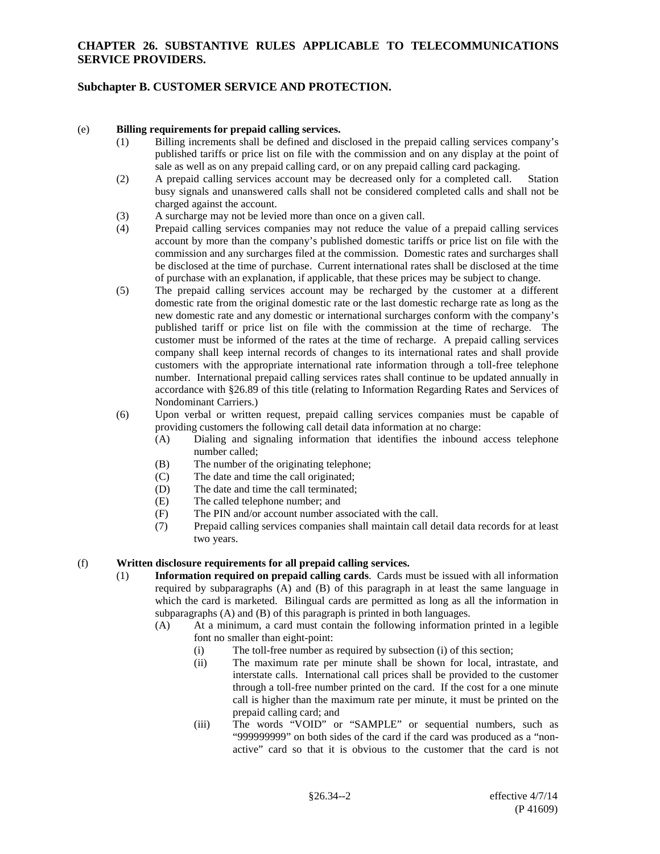## **Subchapter B. CUSTOMER SERVICE AND PROTECTION.**

#### (e) **Billing requirements for prepaid calling services.**

- (1) Billing increments shall be defined and disclosed in the prepaid calling services company's published tariffs or price list on file with the commission and on any display at the point of sale as well as on any prepaid calling card, or on any prepaid calling card packaging.
- (2) A prepaid calling services account may be decreased only for a completed call. Station busy signals and unanswered calls shall not be considered completed calls and shall not be charged against the account.
- (3) A surcharge may not be levied more than once on a given call.
- (4) Prepaid calling services companies may not reduce the value of a prepaid calling services account by more than the company's published domestic tariffs or price list on file with the commission and any surcharges filed at the commission. Domestic rates and surcharges shall be disclosed at the time of purchase. Current international rates shall be disclosed at the time of purchase with an explanation, if applicable, that these prices may be subject to change.
- (5) The prepaid calling services account may be recharged by the customer at a different domestic rate from the original domestic rate or the last domestic recharge rate as long as the new domestic rate and any domestic or international surcharges conform with the company's published tariff or price list on file with the commission at the time of recharge. The customer must be informed of the rates at the time of recharge. A prepaid calling services company shall keep internal records of changes to its international rates and shall provide customers with the appropriate international rate information through a toll-free telephone number. International prepaid calling services rates shall continue to be updated annually in accordance with §26.89 of this title (relating to Information Regarding Rates and Services of Nondominant Carriers.)
- (6) Upon verbal or written request, prepaid calling services companies must be capable of providing customers the following call detail data information at no charge:
	- (A) Dialing and signaling information that identifies the inbound access telephone number called;
	- (B) The number of the originating telephone;
	- (C) The date and time the call originated;
	- (D) The date and time the call terminated;
	- (E) The called telephone number; and
	- (F) The PIN and/or account number associated with the call.
	- (7) Prepaid calling services companies shall maintain call detail data records for at least two years.

#### (f) **Written disclosure requirements for all prepaid calling services.**

- (1) **Information required on prepaid calling cards**. Cards must be issued with all information required by subparagraphs (A) and (B) of this paragraph in at least the same language in which the card is marketed. Bilingual cards are permitted as long as all the information in subparagraphs (A) and (B) of this paragraph is printed in both languages.
	- (A) At a minimum, a card must contain the following information printed in a legible font no smaller than eight-point:
		- (i) The toll-free number as required by subsection (i) of this section;
		- (ii) The maximum rate per minute shall be shown for local, intrastate, and interstate calls. International call prices shall be provided to the customer through a toll-free number printed on the card. If the cost for a one minute call is higher than the maximum rate per minute, it must be printed on the prepaid calling card; and
		- (iii) The words "VOID" or "SAMPLE" or sequential numbers, such as "999999999" on both sides of the card if the card was produced as a "nonactive" card so that it is obvious to the customer that the card is not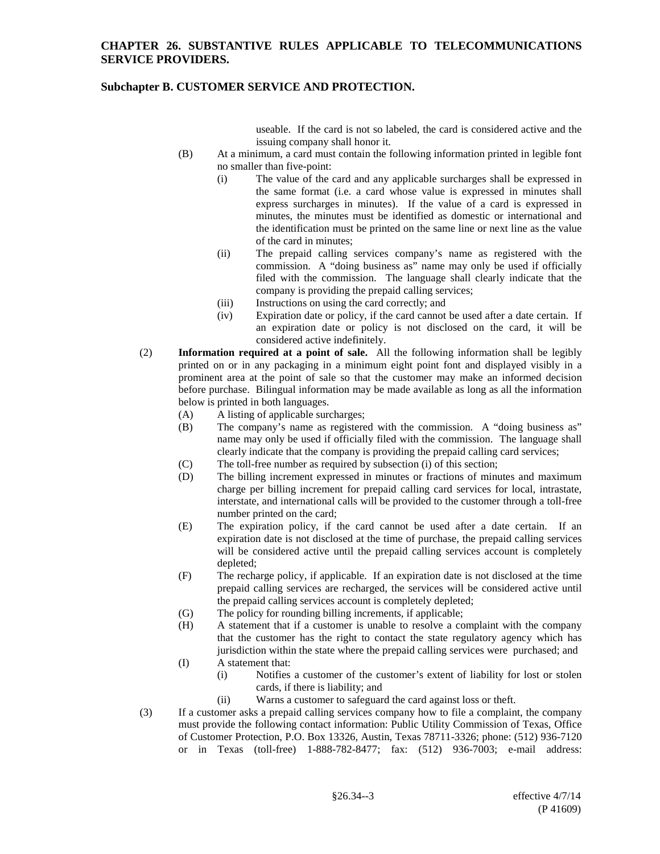## **Subchapter B. CUSTOMER SERVICE AND PROTECTION.**

useable. If the card is not so labeled, the card is considered active and the issuing company shall honor it.

- (B) At a minimum, a card must contain the following information printed in legible font no smaller than five-point:
	- (i) The value of the card and any applicable surcharges shall be expressed in the same format (i.e. a card whose value is expressed in minutes shall express surcharges in minutes). If the value of a card is expressed in minutes, the minutes must be identified as domestic or international and the identification must be printed on the same line or next line as the value of the card in minutes;
	- (ii) The prepaid calling services company's name as registered with the commission. A "doing business as" name may only be used if officially filed with the commission. The language shall clearly indicate that the company is providing the prepaid calling services;
	- (iii) Instructions on using the card correctly; and
	- (iv) Expiration date or policy, if the card cannot be used after a date certain. If an expiration date or policy is not disclosed on the card, it will be considered active indefinitely.
- (2) **Information required at a point of sale.** All the following information shall be legibly printed on or in any packaging in a minimum eight point font and displayed visibly in a prominent area at the point of sale so that the customer may make an informed decision before purchase. Bilingual information may be made available as long as all the information below is printed in both languages.
	- (A) A listing of applicable surcharges;
	- (B) The company's name as registered with the commission. A "doing business as" name may only be used if officially filed with the commission. The language shall clearly indicate that the company is providing the prepaid calling card services;
	- (C) The toll-free number as required by subsection (i) of this section;
	- (D) The billing increment expressed in minutes or fractions of minutes and maximum charge per billing increment for prepaid calling card services for local, intrastate, interstate, and international calls will be provided to the customer through a toll-free number printed on the card;
	- (E) The expiration policy, if the card cannot be used after a date certain. If an expiration date is not disclosed at the time of purchase, the prepaid calling services will be considered active until the prepaid calling services account is completely depleted;
	- (F) The recharge policy, if applicable. If an expiration date is not disclosed at the time prepaid calling services are recharged, the services will be considered active until the prepaid calling services account is completely depleted;
	- (G) The policy for rounding billing increments, if applicable;
	- (H) A statement that if a customer is unable to resolve a complaint with the company that the customer has the right to contact the state regulatory agency which has jurisdiction within the state where the prepaid calling services were purchased; and
	- (I) A statement that:
		- (i) Notifies a customer of the customer's extent of liability for lost or stolen cards, if there is liability; and
		- (ii) Warns a customer to safeguard the card against loss or theft.
- (3) If a customer asks a prepaid calling services company how to file a complaint, the company must provide the following contact information: Public Utility Commission of Texas, Office of Customer Protection, P.O. Box 13326, Austin, Texas 78711-3326; phone: (512) 936-7120 or in Texas (toll-free) 1-888-782-8477; fax: (512) 936-7003; e-mail address: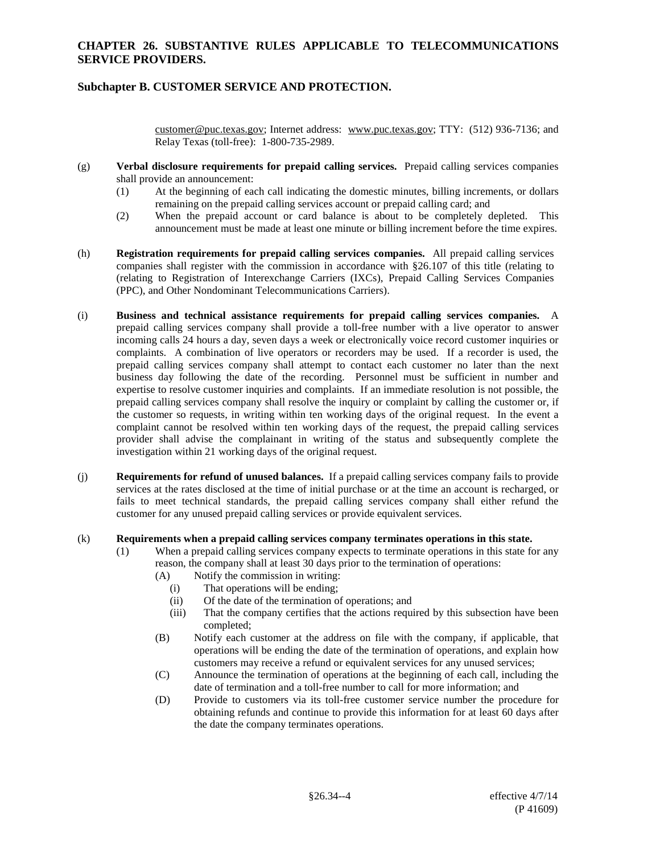## **Subchapter B. CUSTOMER SERVICE AND PROTECTION.**

customer@puc.texas.gov; Internet address: www.puc.texas.gov; TTY: (512) 936-7136; and Relay Texas (toll-free): 1-800-735-2989.

- (g) **Verbal disclosure requirements for prepaid calling services.** Prepaid calling services companies shall provide an announcement:
	- (1) At the beginning of each call indicating the domestic minutes, billing increments, or dollars remaining on the prepaid calling services account or prepaid calling card; and
	- (2) When the prepaid account or card balance is about to be completely depleted. This announcement must be made at least one minute or billing increment before the time expires.
- (h) **Registration requirements for prepaid calling services companies.** All prepaid calling services companies shall register with the commission in accordance with §26.107 of this title (relating to (relating to Registration of Interexchange Carriers (IXCs), Prepaid Calling Services Companies (PPC), and Other Nondominant Telecommunications Carriers).
- (i) **Business and technical assistance requirements for prepaid calling services companies.** A prepaid calling services company shall provide a toll-free number with a live operator to answer incoming calls 24 hours a day, seven days a week or electronically voice record customer inquiries or complaints. A combination of live operators or recorders may be used. If a recorder is used, the prepaid calling services company shall attempt to contact each customer no later than the next business day following the date of the recording. Personnel must be sufficient in number and expertise to resolve customer inquiries and complaints. If an immediate resolution is not possible, the prepaid calling services company shall resolve the inquiry or complaint by calling the customer or, if the customer so requests, in writing within ten working days of the original request. In the event a complaint cannot be resolved within ten working days of the request, the prepaid calling services provider shall advise the complainant in writing of the status and subsequently complete the investigation within 21 working days of the original request.
- (j) **Requirements for refund of unused balances.** If a prepaid calling services company fails to provide services at the rates disclosed at the time of initial purchase or at the time an account is recharged, or fails to meet technical standards, the prepaid calling services company shall either refund the customer for any unused prepaid calling services or provide equivalent services.

#### (k) **Requirements when a prepaid calling services company terminates operations in this state.**

- (1) When a prepaid calling services company expects to terminate operations in this state for any reason, the company shall at least 30 days prior to the termination of operations:
	- (A) Notify the commission in writing:
		- (i) That operations will be ending;
		- (ii) Of the date of the termination of operations; and
		- (iii) That the company certifies that the actions required by this subsection have been completed;
	- (B) Notify each customer at the address on file with the company, if applicable, that operations will be ending the date of the termination of operations, and explain how customers may receive a refund or equivalent services for any unused services;
	- (C) Announce the termination of operations at the beginning of each call, including the date of termination and a toll-free number to call for more information; and
	- (D) Provide to customers via its toll-free customer service number the procedure for obtaining refunds and continue to provide this information for at least 60 days after the date the company terminates operations.